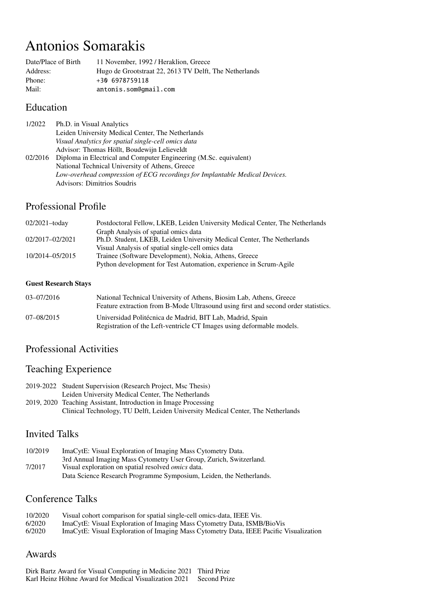# Antonios Somarakis

| Date/Place of Birth | 11 November, 1992 / Heraklion, Greece                  |
|---------------------|--------------------------------------------------------|
| Address:            | Hugo de Grootstraat 22, 2613 TV Delft, The Netherlands |
| Phone:              | $+306978759118$                                        |
| Mail:               | antonis.som@gmail.com                                  |

#### Education

| 1/2022  | Ph.D. in Visual Analytics                                                   |
|---------|-----------------------------------------------------------------------------|
|         | Leiden University Medical Center, The Netherlands                           |
|         | Visual Analytics for spatial single-cell omics data                         |
|         | Advisor: Thomas Höllt, Boudewijn Lelieveldt                                 |
| 02/2016 | Diploma in Electrical and Computer Engineering (M.Sc. equivalent)           |
|         | National Technical University of Athens, Greece                             |
|         | Low-overhead compression of ECG recordings for Implantable Medical Devices. |
|         | <b>Advisors: Dimitrios Soudris</b>                                          |

# Professional Profile

| $02/2021 -$ today | Postdoctoral Fellow, LKEB, Leiden University Medical Center, The Netherlands |
|-------------------|------------------------------------------------------------------------------|
|                   | Graph Analysis of spatial omics data                                         |
| 02/2017-02/2021   | Ph.D. Student, LKEB, Leiden University Medical Center, The Netherlands       |
|                   | Visual Analysis of spatial single-cell omics data                            |
| 10/2014-05/2015   | Trainee (Software Development), Nokia, Athens, Greece                        |
|                   | Python development for Test Automation, experience in Scrum-Agile            |

#### Guest Research Stays

| 03-07/2016     | National Technical University of Athens, Biosim Lab, Athens, Greece<br>Feature extraction from B-Mode Ultrasound using first and second order statistics. |
|----------------|-----------------------------------------------------------------------------------------------------------------------------------------------------------|
| $07 - 08/2015$ | Universidad Politécnica de Madrid, BIT Lab, Madrid, Spain<br>Registration of the Left-ventricle CT Images using deformable models.                        |

# Professional Activities

# Teaching Experience

| 2019-2022 Student Supervision (Research Project, Msc Thesis)                     |
|----------------------------------------------------------------------------------|
| Leiden University Medical Center, The Netherlands                                |
| 2019, 2020 Teaching Assistant, Introduction in Image Processing                  |
| Clinical Technology, TU Delft, Leiden University Medical Center, The Netherlands |

### Invited Talks

| 10/2019 | ImaCytE: Visual Exploration of Imaging Mass Cytometry Data.         |
|---------|---------------------------------------------------------------------|
|         | 3rd Annual Imaging Mass Cytometry User Group, Zurich, Switzerland.  |
| 7/2017  | Visual exploration on spatial resolved <i>omics</i> data.           |
|         | Data Science Research Programme Symposium, Leiden, the Netherlands. |

# Conference Talks

| 10/2020 | Visual cohort comparison for spatial single-cell omics-data, IEEE Vis.                 |
|---------|----------------------------------------------------------------------------------------|
| 6/2020  | ImaCytE: Visual Exploration of Imaging Mass Cytometry Data, ISMB/BioVis                |
| 6/2020  | ImaCytE: Visual Exploration of Imaging Mass Cytometry Data, IEEE Pacific Visualization |

# Awards